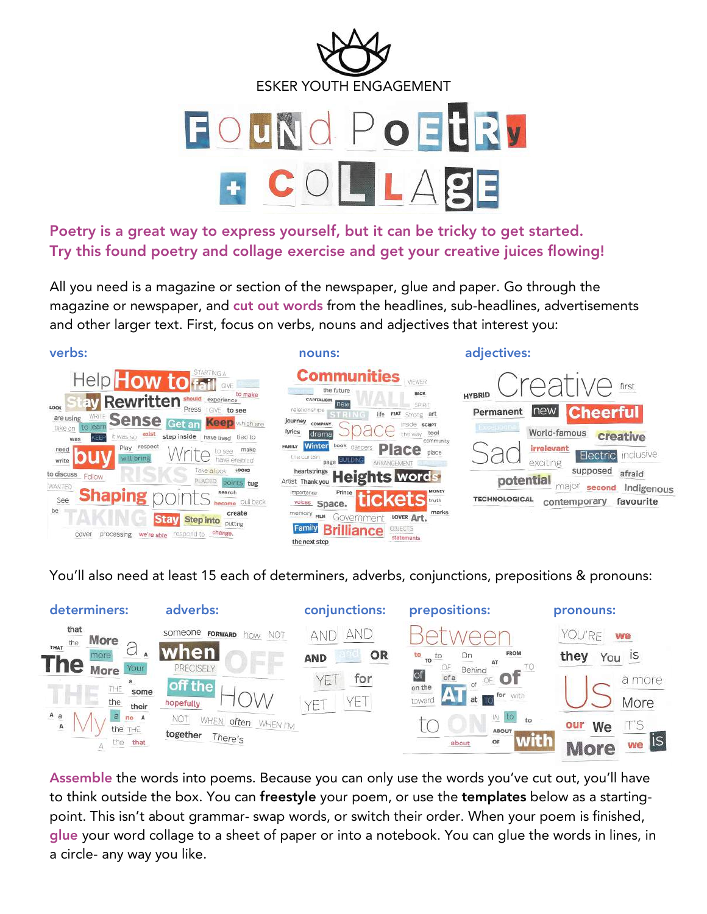

Poetry is a great way to express yourself, but it can be tricky to get started. Try this found poetry and collage exercise and get your creative juices flowing!

All you need is a magazine or section of the newspaper, glue and paper. Go through the magazine or newspaper, and cut out words from the headlines, sub-headlines, advertisements and other larger text. First, focus on verbs, nouns and adjectives that interest you:



You'll also need at least 15 each of determiners, adverbs, conjunctions, prepositions & pronouns:



Assemble the words into poems. Because you can only use the words you've cut out, you'll have to think outside the box. You can freestyle your poem, or use the templates below as a startingpoint. This isn't about grammar- swap words, or switch their order. When your poem is finished, glue your word collage to a sheet of paper or into a notebook. You can glue the words in lines, in a circle- any way you like.